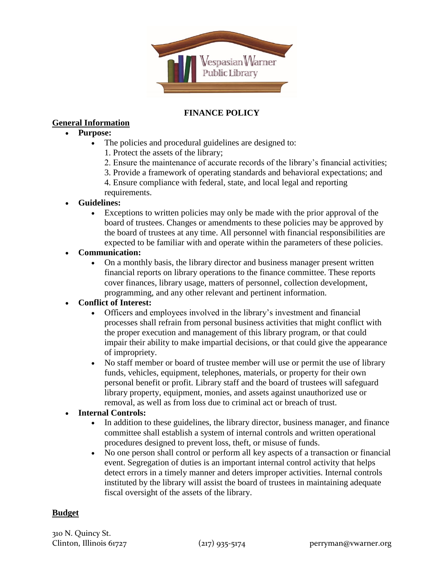

## **FINANCE POLICY**

### **General Information**

#### **Purpose:**

- The policies and procedural guidelines are designed to:
	- 1. Protect the assets of the library;
	- 2. Ensure the maintenance of accurate records of the library's financial activities;
	- 3. Provide a framework of operating standards and behavioral expectations; and
	- 4. Ensure compliance with federal, state, and local legal and reporting requirements.

#### **Guidelines:**

 Exceptions to written policies may only be made with the prior approval of the board of trustees. Changes or amendments to these policies may be approved by the board of trustees at any time. All personnel with financial responsibilities are expected to be familiar with and operate within the parameters of these policies.

#### **Communication:**

 On a monthly basis, the library director and business manager present written financial reports on library operations to the finance committee. These reports cover finances, library usage, matters of personnel, collection development, programming, and any other relevant and pertinent information.

## **Conflict of Interest:**

- Officers and employees involved in the library's investment and financial processes shall refrain from personal business activities that might conflict with the proper execution and management of this library program, or that could impair their ability to make impartial decisions, or that could give the appearance of impropriety.
- No staff member or board of trustee member will use or permit the use of library funds, vehicles, equipment, telephones, materials, or property for their own personal benefit or profit. Library staff and the board of trustees will safeguard library property, equipment, monies, and assets against unauthorized use or removal, as well as from loss due to criminal act or breach of trust.

## **Internal Controls:**

- In addition to these guidelines, the library director, business manager, and finance committee shall establish a system of internal controls and written operational procedures designed to prevent loss, theft, or misuse of funds.
- No one person shall control or perform all key aspects of a transaction or financial event. Segregation of duties is an important internal control activity that helps detect errors in a timely manner and deters improper activities. Internal controls instituted by the library will assist the board of trustees in maintaining adequate fiscal oversight of the assets of the library.

## **Budget**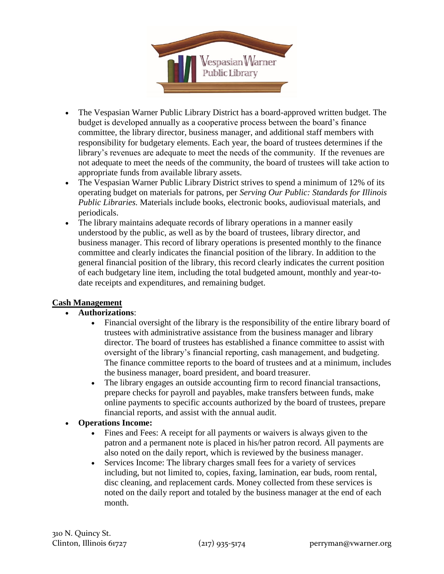

- The Vespasian Warner Public Library District has a board-approved written budget. The budget is developed annually as a cooperative process between the board's finance committee, the library director, business manager, and additional staff members with responsibility for budgetary elements. Each year, the board of trustees determines if the library's revenues are adequate to meet the needs of the community. If the revenues are not adequate to meet the needs of the community, the board of trustees will take action to appropriate funds from available library assets.
- The Vespasian Warner Public Library District strives to spend a minimum of 12% of its operating budget on materials for patrons, per *Serving Our Public: Standards for Illinois Public Libraries.* Materials include books, electronic books, audiovisual materials, and periodicals.
- The library maintains adequate records of library operations in a manner easily understood by the public, as well as by the board of trustees, library director, and business manager. This record of library operations is presented monthly to the finance committee and clearly indicates the financial position of the library. In addition to the general financial position of the library, this record clearly indicates the current position of each budgetary line item, including the total budgeted amount, monthly and year-todate receipts and expenditures, and remaining budget.

## **Cash Management**

#### **Authorizations**:

- Financial oversight of the library is the responsibility of the entire library board of trustees with administrative assistance from the business manager and library director. The board of trustees has established a finance committee to assist with oversight of the library's financial reporting, cash management, and budgeting. The finance committee reports to the board of trustees and at a minimum, includes the business manager, board president, and board treasurer.
- The library engages an outside accounting firm to record financial transactions, prepare checks for payroll and payables, make transfers between funds, make online payments to specific accounts authorized by the board of trustees, prepare financial reports, and assist with the annual audit.
- **Operations Income:**
	- Fines and Fees: A receipt for all payments or waivers is always given to the patron and a permanent note is placed in his/her patron record. All payments are also noted on the daily report, which is reviewed by the business manager.
	- Services Income: The library charges small fees for a variety of services including, but not limited to, copies, faxing, lamination, ear buds, room rental, disc cleaning, and replacement cards. Money collected from these services is noted on the daily report and totaled by the business manager at the end of each month.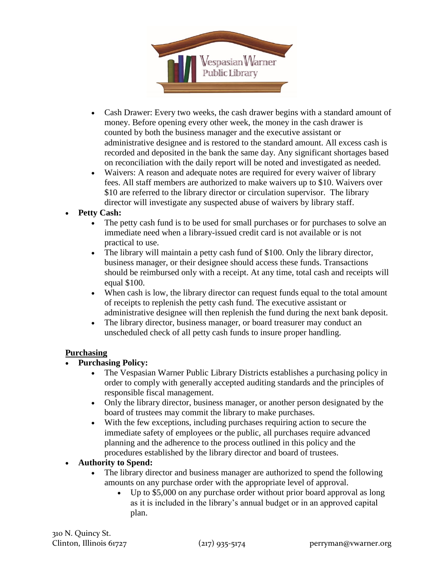

- Cash Drawer: Every two weeks, the cash drawer begins with a standard amount of money. Before opening every other week, the money in the cash drawer is counted by both the business manager and the executive assistant or administrative designee and is restored to the standard amount. All excess cash is recorded and deposited in the bank the same day. Any significant shortages based on reconciliation with the daily report will be noted and investigated as needed.
- Waivers: A reason and adequate notes are required for every waiver of library fees. All staff members are authorized to make waivers up to \$10. Waivers over \$10 are referred to the library director or circulation supervisor. The library director will investigate any suspected abuse of waivers by library staff.

## **Petty Cash:**

- The petty cash fund is to be used for small purchases or for purchases to solve an immediate need when a library-issued credit card is not available or is not practical to use.
- The library will maintain a petty cash fund of \$100. Only the library director, business manager, or their designee should access these funds. Transactions should be reimbursed only with a receipt. At any time, total cash and receipts will equal \$100.
- When cash is low, the library director can request funds equal to the total amount of receipts to replenish the petty cash fund. The executive assistant or administrative designee will then replenish the fund during the next bank deposit.
- The library director, business manager, or board treasurer may conduct an unscheduled check of all petty cash funds to insure proper handling.

## **Purchasing**

# **Purchasing Policy:**

- The Vespasian Warner Public Library Districts establishes a purchasing policy in order to comply with generally accepted auditing standards and the principles of responsible fiscal management.
- Only the library director, business manager, or another person designated by the board of trustees may commit the library to make purchases.
- With the few exceptions, including purchases requiring action to secure the immediate safety of employees or the public, all purchases require advanced planning and the adherence to the process outlined in this policy and the procedures established by the library director and board of trustees.

## **Authority to Spend:**

- The library director and business manager are authorized to spend the following amounts on any purchase order with the appropriate level of approval.
	- Up to \$5,000 on any purchase order without prior board approval as long as it is included in the library's annual budget or in an approved capital plan.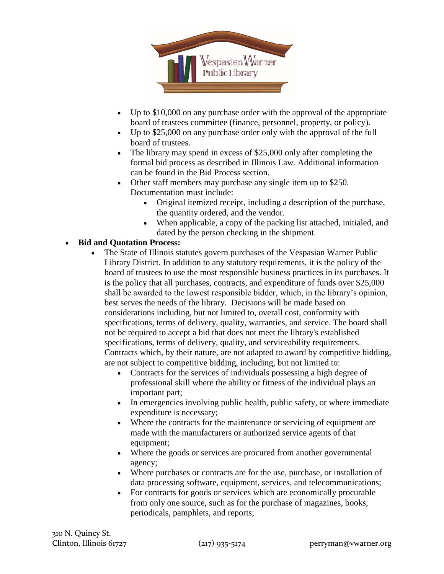

- Up to \$10,000 on any purchase order with the approval of the appropriate board of trustees committee (finance, personnel, property, or policy).
- Up to \$25,000 on any purchase order only with the approval of the full board of trustees.
- The library may spend in excess of \$25,000 only after completing the formal bid process as described in Illinois Law. Additional information can be found in the Bid Process section.
- Other staff members may purchase any single item up to \$250. Documentation must include:
	- Original itemized receipt, including a description of the purchase, the quantity ordered, and the vendor.
	- When applicable, a copy of the packing list attached, initialed, and dated by the person checking in the shipment.

# **Bid and Quotation Process:**

- The State of Illinois statutes govern purchases of the Vespasian Warner Public Library District. In addition to any statutory requirements, it is the policy of the board of trustees to use the most responsible business practices in its purchases. It is the policy that all purchases, contracts, and expenditure of funds over \$25,000 shall be awarded to the lowest responsible bidder, which, in the library's opinion, best serves the needs of the library. Decisions will be made based on considerations including, but not limited to, overall cost, conformity with specifications, terms of delivery, quality, warranties, and service. The board shall not be required to accept a bid that does not meet the library's established specifications, terms of delivery, quality, and serviceability requirements. Contracts which, by their nature, are not adapted to award by competitive bidding, are not subject to competitive bidding, including, but not limited to:
	- Contracts for the services of individuals possessing a high degree of professional skill where the ability or fitness of the individual plays an important part;
	- In emergencies involving public health, public safety, or where immediate expenditure is necessary;
	- Where the contracts for the maintenance or servicing of equipment are made with the manufacturers or authorized service agents of that equipment;
	- Where the goods or services are procured from another governmental agency;
	- Where purchases or contracts are for the use, purchase, or installation of data processing software, equipment, services, and telecommunications;
	- For contracts for goods or services which are economically procurable from only one source, such as for the purchase of magazines, books, periodicals, pamphlets, and reports;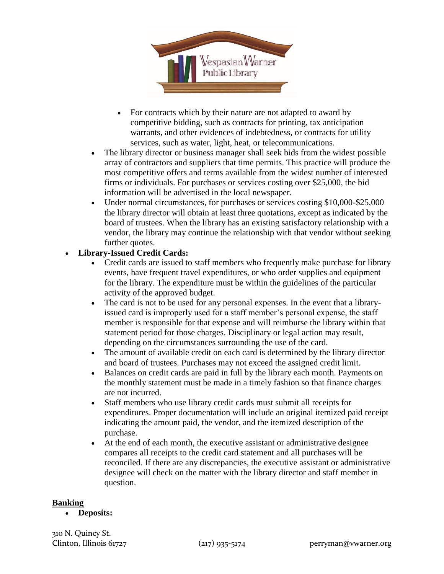

- For contracts which by their nature are not adapted to award by competitive bidding, such as contracts for printing, tax anticipation warrants, and other evidences of indebtedness, or contracts for utility services, such as water, light, heat, or telecommunications.
- The library director or business manager shall seek bids from the widest possible array of contractors and suppliers that time permits. This practice will produce the most competitive offers and terms available from the widest number of interested firms or individuals. For purchases or services costing over \$25,000, the bid information will be advertised in the local newspaper.
- Under normal circumstances, for purchases or services costing \$10,000-\$25,000 the library director will obtain at least three quotations, except as indicated by the board of trustees. When the library has an existing satisfactory relationship with a vendor, the library may continue the relationship with that vendor without seeking further quotes.

# **Library-Issued Credit Cards:**

- Credit cards are issued to staff members who frequently make purchase for library events, have frequent travel expenditures, or who order supplies and equipment for the library. The expenditure must be within the guidelines of the particular activity of the approved budget.
- The card is not to be used for any personal expenses. In the event that a libraryissued card is improperly used for a staff member's personal expense, the staff member is responsible for that expense and will reimburse the library within that statement period for those charges. Disciplinary or legal action may result, depending on the circumstances surrounding the use of the card.
- The amount of available credit on each card is determined by the library director and board of trustees. Purchases may not exceed the assigned credit limit.
- Balances on credit cards are paid in full by the library each month. Payments on the monthly statement must be made in a timely fashion so that finance charges are not incurred.
- Staff members who use library credit cards must submit all receipts for expenditures. Proper documentation will include an original itemized paid receipt indicating the amount paid, the vendor, and the itemized description of the purchase.
- At the end of each month, the executive assistant or administrative designee compares all receipts to the credit card statement and all purchases will be reconciled. If there are any discrepancies, the executive assistant or administrative designee will check on the matter with the library director and staff member in question.

#### **Banking**

**Deposits:**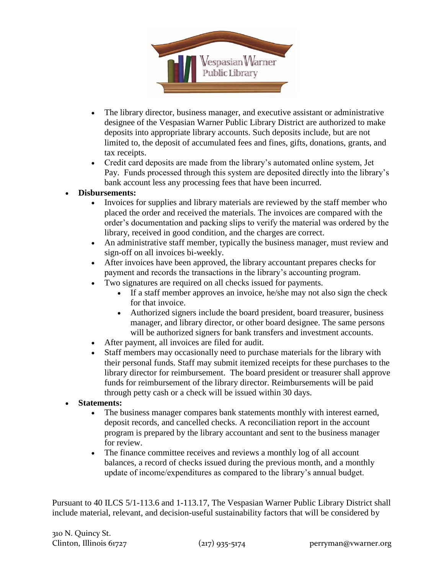

- The library director, business manager, and executive assistant or administrative designee of the Vespasian Warner Public Library District are authorized to make deposits into appropriate library accounts. Such deposits include, but are not limited to, the deposit of accumulated fees and fines, gifts, donations, grants, and tax receipts.
- Credit card deposits are made from the library's automated online system, Jet Pay. Funds processed through this system are deposited directly into the library's bank account less any processing fees that have been incurred.

## **Disbursements:**

- Invoices for supplies and library materials are reviewed by the staff member who placed the order and received the materials. The invoices are compared with the order's documentation and packing slips to verify the material was ordered by the library, received in good condition, and the charges are correct.
- An administrative staff member, typically the business manager, must review and sign-off on all invoices bi-weekly.
- After invoices have been approved, the library accountant prepares checks for payment and records the transactions in the library's accounting program.
- Two signatures are required on all checks issued for payments.
	- If a staff member approves an invoice, he/she may not also sign the check for that invoice.
	- Authorized signers include the board president, board treasurer, business manager, and library director, or other board designee. The same persons will be authorized signers for bank transfers and investment accounts.
- After payment, all invoices are filed for audit.
- Staff members may occasionally need to purchase materials for the library with their personal funds. Staff may submit itemized receipts for these purchases to the library director for reimbursement. The board president or treasurer shall approve funds for reimbursement of the library director. Reimbursements will be paid through petty cash or a check will be issued within 30 days.
- **Statements:**
	- The business manager compares bank statements monthly with interest earned, deposit records, and cancelled checks. A reconciliation report in the account program is prepared by the library accountant and sent to the business manager for review.
	- The finance committee receives and reviews a monthly log of all account balances, a record of checks issued during the previous month, and a monthly update of income/expenditures as compared to the library's annual budget.

Pursuant to 40 ILCS 5/1-113.6 and 1-113.17, The Vespasian Warner Public Library District shall include material, relevant, and decision-useful sustainability factors that will be considered by